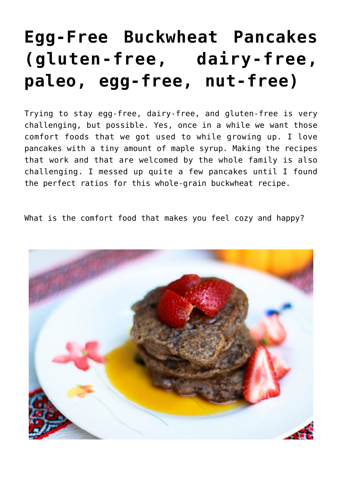## **[Egg-Free Buckwheat Pancakes](https://sproutshealth.com/egg-free-buckwheat-pancakes/) [\(gluten-free, dairy-free,](https://sproutshealth.com/egg-free-buckwheat-pancakes/) [paleo, egg-free, nut-free\)](https://sproutshealth.com/egg-free-buckwheat-pancakes/)**

Trying to stay egg-free, dairy-free, and gluten-free is very challenging, but possible. Yes, once in a while we want those comfort foods that we got used to while growing up. I love pancakes with a tiny amount of maple syrup. Making the recipes that work and that are welcomed by the whole family is also challenging. I messed up quite a few pancakes until I found the perfect ratios for this whole-grain buckwheat recipe.

What is the comfort food that makes you feel cozy and happy?

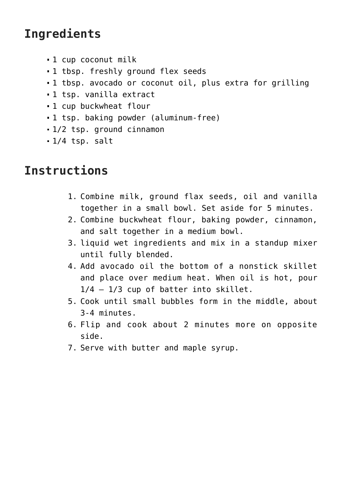## **Ingredients**

- 1 cup coconut milk
- 1 tbsp. freshly ground flex seeds
- 1 tbsp. avocado or coconut oil, plus extra for grilling
- 1 tsp. vanilla extract
- 1 cup buckwheat flour
- 1 tsp. baking powder (aluminum-free)
- 1/2 tsp. ground cinnamon
- $-1/4$  tsp. salt

## **Instructions**

- 1. Combine milk, ground flax seeds, oil and vanilla together in a small bowl. Set aside for 5 minutes.
- 2. Combine buckwheat flour, baking powder, cinnamon, and salt together in a medium bowl.
- 3. liquid wet ingredients and mix in a standup mixer until fully blended.
- 4. Add avocado oil the bottom of a nonstick skillet and place over medium heat. When oil is hot, pour 1/4 – 1/3 cup of batter into skillet.
- 5. Cook until small bubbles form in the middle, about 3-4 minutes.
- 6. Flip and cook about 2 minutes more on opposite side.
- 7. Serve with butter and maple syrup.